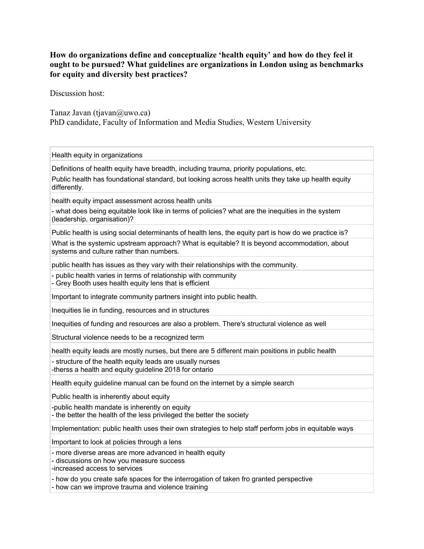## **How do organizations define and conceptualize 'health equity' and how do they feel it ought to be pursued? What guidelines are organizations in London using as benchmarks for equity and diversity best practices?**

Discussion host:

Tanaz Javan (tjavan $\omega$ uwo.ca) PhD candidate, Faculty of Information and Media Studies, Western University

Health equity in organizations

Definitions of health equity have breadth, including trauma, priority populations, etc.

Public health has foundational standard, but looking across health units they take up health equity differently.

health equity impact assessment across health units

- what does being equitable look like in terms of policies? what are the inequities in the system (leadership, organisation)?

Public health is using social determinants of health lens, the equity part is how do we practice is?

What is the systemic upstream approach? What is equitable? It is beyond accommodation, about systems and culture rather than numbers.

public health has issues as they vary with their relationships with the community.

- public health varies in terms of relationship with community

- Grey Booth uses health equity lens that is efficient

Important to integrate community partners insight into public health.

Inequities lie in funding, resources and in structures

Inequities of funding and resources are also a problem. There's structural violence as well

Structural violence needs to be a recognized term

health equity leads are mostly nurses, but there are 5 different main positions in public health

- structure of the health equity leads are usually nurses -therss a health and equity guideline 2018 for ontario

Health equity guideline manual can be found on the internet by a simple search

Public health is inherently about equity

-public health mandate is inherently on equity

- the better the health of the less privileged the better the society

Implementation: public health uses their own strategies to help staff perform jobs in equitable ways

Important to look at policies through a lens

- more diverse areas are more advanced in health equity

- discussions on how you measure success

-increased access to services

- how do you create safe spaces for the interrogation of taken fro granted perspective

- how can we improve trauma and violence training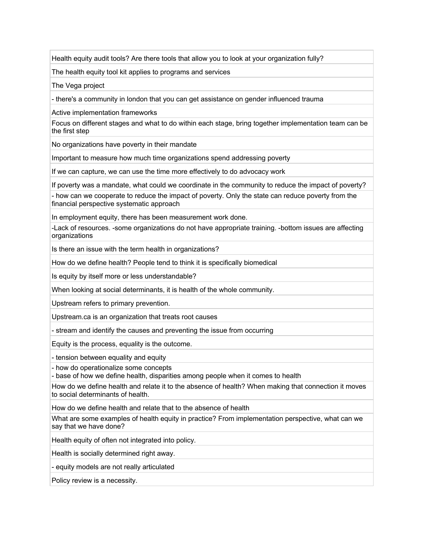Health equity audit tools? Are there tools that allow you to look at your organization fully?

The health equity tool kit applies to programs and services

The Vega project

- there's a community in london that you can get assistance on gender influenced trauma

Active implementation frameworks

Focus on different stages and what to do within each stage, bring together implementation team can be the first step

No organizations have poverty in their mandate

Important to measure how much time organizations spend addressing poverty

If we can capture, we can use the time more effectively to do advocacy work

If poverty was a mandate, what could we coordinate in the community to reduce the impact of poverty?

- how can we cooperate to reduce the impact of poverty. Only the state can reduce poverty from the financial perspective systematic approach

In employment equity, there has been measurement work done.

-Lack of resources. -some organizations do not have appropriate training. -bottom issues are affecting organizations

Is there an issue with the term health in organizations?

How do we define health? People tend to think it is specifically biomedical

Is equity by itself more or less understandable?

When looking at social determinants, it is health of the whole community.

Upstream refers to primary prevention.

Upstream.ca is an organization that treats root causes

- stream and identify the causes and preventing the issue from occurring

Equity is the process, equality is the outcome.

- tension between equality and equity

- how do operationalize some concepts

- base of how we define health, disparities among people when it comes to health

How do we define health and relate it to the absence of health? When making that connection it moves to social determinants of health.

How do we define health and relate that to the absence of health

What are some examples of health equity in practice? From implementation perspective, what can we say that we have done?

Health equity of often not integrated into policy.

Health is socially determined right away.

- equity models are not really articulated

Policy review is a necessity.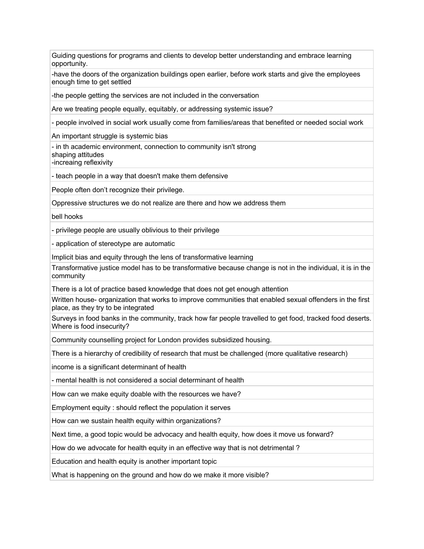Guiding questions for programs and clients to develop better understanding and embrace learning opportunity.

-have the doors of the organization buildings open earlier, before work starts and give the employees enough time to get settled

-the people getting the services are not included in the conversation

Are we treating people equally, equitably, or addressing systemic issue?

- people involved in social work usually come from families/areas that benefited or needed social work

An important struggle is systemic bias

- in th academic environment, connection to community isn't strong shaping attitudes

-increaing reflexivity

- teach people in a way that doesn't make them defensive

People often don't recognize their privilege.

Oppressive structures we do not realize are there and how we address them

bell hooks

- privilege people are usually oblivious to their privilege

- application of stereotype are automatic

Implicit bias and equity through the lens of transformative learning

Transformative justice model has to be transformative because change is not in the individual, it is in the community

There is a lot of practice based knowledge that does not get enough attention

Written house- organization that works to improve communities that enabled sexual offenders in the first place, as they try to be integrated

Surveys in food banks in the community, track how far people travelled to get food, tracked food deserts. Where is food insecurity?

Community counselling project for London provides subsidized housing.

There is a hierarchy of credibility of research that must be challenged (more qualitative research)

income is a significant determinant of health

- mental health is not considered a social determinant of health

How can we make equity doable with the resources we have?

Employment equity : should reflect the population it serves

How can we sustain health equity within organizations?

Next time, a good topic would be advocacy and health equity, how does it move us forward?

How do we advocate for health equity in an effective way that is not detrimental ?

Education and health equity is another important topic

What is happening on the ground and how do we make it more visible?